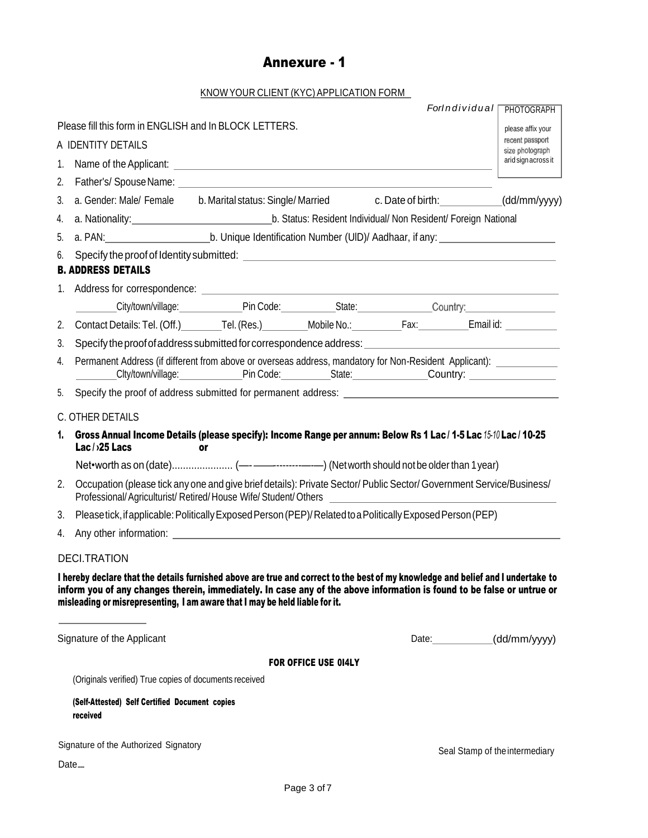## Annexure - 1

## KNOWYOUR CLIENT (KYC) APPLICATION FORM

|                                       |                                                                                                                                                                                                                                                                                                                                           |                                                                |                             |                                                                                                                                                                            | ForIndividual<br><b>PHOTOGRAPH</b>     |  |  |  |
|---------------------------------------|-------------------------------------------------------------------------------------------------------------------------------------------------------------------------------------------------------------------------------------------------------------------------------------------------------------------------------------------|----------------------------------------------------------------|-----------------------------|----------------------------------------------------------------------------------------------------------------------------------------------------------------------------|----------------------------------------|--|--|--|
|                                       | Please fill this form in ENGLISH and In BLOCK LETTERS.                                                                                                                                                                                                                                                                                    |                                                                |                             |                                                                                                                                                                            | please affix your                      |  |  |  |
| A IDENTITY DETAILS                    |                                                                                                                                                                                                                                                                                                                                           |                                                                |                             |                                                                                                                                                                            |                                        |  |  |  |
| 1.                                    |                                                                                                                                                                                                                                                                                                                                           |                                                                |                             |                                                                                                                                                                            | size photograph<br>arid sign across it |  |  |  |
| 2.                                    |                                                                                                                                                                                                                                                                                                                                           |                                                                |                             |                                                                                                                                                                            |                                        |  |  |  |
| 3.                                    | a. Gender: Male/ Female b. Marital status: Single/ Married c. Date of birth: (dd/mm/yyyy)                                                                                                                                                                                                                                                 |                                                                |                             |                                                                                                                                                                            |                                        |  |  |  |
| 4.                                    |                                                                                                                                                                                                                                                                                                                                           | b. Status: Resident Individual/ Non Resident/ Foreign National |                             |                                                                                                                                                                            |                                        |  |  |  |
| 5.                                    |                                                                                                                                                                                                                                                                                                                                           |                                                                |                             |                                                                                                                                                                            |                                        |  |  |  |
| 6.                                    | <b>B. ADDRESS DETAILS</b>                                                                                                                                                                                                                                                                                                                 |                                                                |                             |                                                                                                                                                                            |                                        |  |  |  |
| 1.                                    |                                                                                                                                                                                                                                                                                                                                           |                                                                |                             |                                                                                                                                                                            |                                        |  |  |  |
|                                       | City/town/village:<br>Pin Code:  Country:  Country:  Country:  Country:  Country:  Country:  Country:  Country:  Country:  Country:  Country:  Country:  Country:  Country:  Country:  Country:  Country:  Country:  Country:                                                                                                             |                                                                |                             |                                                                                                                                                                            |                                        |  |  |  |
| 2.                                    |                                                                                                                                                                                                                                                                                                                                           |                                                                |                             |                                                                                                                                                                            |                                        |  |  |  |
| 3.                                    | Specify the proof of address submitted for correspondence address:                                                                                                                                                                                                                                                                        |                                                                |                             |                                                                                                                                                                            |                                        |  |  |  |
| 4.                                    |                                                                                                                                                                                                                                                                                                                                           |                                                                |                             | Permanent Address (if different from above or overseas address, mandatory for Non-Resident Applicant): __________<br>Clty/town/village: Pin Code: State: Country: Country: |                                        |  |  |  |
| 5.                                    | Specify the proof of address submitted for permanent address: example and an approximately contact the control of the state of the state of the state of the state of the state of the state of the state of the state of the                                                                                                             |                                                                |                             |                                                                                                                                                                            |                                        |  |  |  |
|                                       | C. OTHER DETAILS                                                                                                                                                                                                                                                                                                                          |                                                                |                             |                                                                                                                                                                            |                                        |  |  |  |
| 1.                                    | Gross Annual Income Details (please specify): Income Range per annum: Below Rs 1 Lac / 1-5 Lac / 5-10 Lac / 10-25<br>Lac/>25 Lacs<br>or                                                                                                                                                                                                   |                                                                |                             |                                                                                                                                                                            |                                        |  |  |  |
|                                       |                                                                                                                                                                                                                                                                                                                                           |                                                                |                             |                                                                                                                                                                            |                                        |  |  |  |
| 2.                                    | Occupation (please tick any one and give brief details): Private Sector/ Public Sector/ Government Service/Business/<br>Professional/Agriculturist/Retired/House Wife/Student/Others ___________________                                                                                                                                  |                                                                |                             |                                                                                                                                                                            |                                        |  |  |  |
| 3.                                    | Please tick, if applicable: Politically Exposed Person (PEP)/Related to a Politically Exposed Person (PEP)                                                                                                                                                                                                                                |                                                                |                             |                                                                                                                                                                            |                                        |  |  |  |
| 4.                                    |                                                                                                                                                                                                                                                                                                                                           |                                                                |                             |                                                                                                                                                                            |                                        |  |  |  |
|                                       | <b>DECI.TRATION</b>                                                                                                                                                                                                                                                                                                                       |                                                                |                             |                                                                                                                                                                            |                                        |  |  |  |
|                                       | I hereby declare that the details furnished above are true and correct to the best of my knowledge and belief and I undertake to<br>inform you of any changes therein, immediately. In case any of the above information is found to be false or untrue or<br>misleading or misrepresenting, I am aware that I may be held liable for it. |                                                                |                             |                                                                                                                                                                            |                                        |  |  |  |
| Signature of the Applicant            |                                                                                                                                                                                                                                                                                                                                           |                                                                |                             |                                                                                                                                                                            | Date: (dd/mm/yyyy)                     |  |  |  |
|                                       |                                                                                                                                                                                                                                                                                                                                           |                                                                | <b>FOR OFFICE USE 014LY</b> |                                                                                                                                                                            |                                        |  |  |  |
|                                       | (Originals verified) True copies of documents received                                                                                                                                                                                                                                                                                    |                                                                |                             |                                                                                                                                                                            |                                        |  |  |  |
|                                       | (Self-Attested) Self Certified Document copies<br>received                                                                                                                                                                                                                                                                                |                                                                |                             |                                                                                                                                                                            |                                        |  |  |  |
| Signature of the Authorized Signatory |                                                                                                                                                                                                                                                                                                                                           |                                                                |                             |                                                                                                                                                                            | Seal Stamp of the intermediary         |  |  |  |
| Date                                  |                                                                                                                                                                                                                                                                                                                                           |                                                                |                             |                                                                                                                                                                            |                                        |  |  |  |